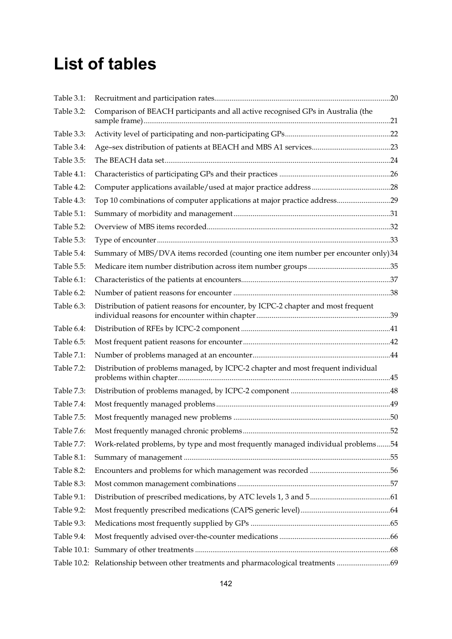## **List of tables**

| Table 3.1:  |                                                                                     |    |
|-------------|-------------------------------------------------------------------------------------|----|
| Table 3.2:  | Comparison of BEACH participants and all active recognised GPs in Australia (the    |    |
| Table 3.3:  |                                                                                     |    |
| Table 3.4:  |                                                                                     |    |
| Table 3.5:  |                                                                                     |    |
| Table 4.1:  |                                                                                     |    |
| Table 4.2:  |                                                                                     |    |
| Table 4.3:  | Top 10 combinations of computer applications at major practice address29            |    |
| Table 5.1:  |                                                                                     |    |
| Table 5.2:  |                                                                                     |    |
| Table 5.3:  |                                                                                     |    |
| Table 5.4:  | Summary of MBS/DVA items recorded (counting one item number per encounter only)34   |    |
| Table 5.5:  |                                                                                     |    |
| Table 6.1:  |                                                                                     |    |
| Table 6.2:  |                                                                                     |    |
| Table 6.3:  | Distribution of patient reasons for encounter, by ICPC-2 chapter and most frequent  |    |
| Table 6.4:  |                                                                                     |    |
| Table 6.5:  |                                                                                     |    |
| Table 7.1:  |                                                                                     |    |
| Table 7.2:  | Distribution of problems managed, by ICPC-2 chapter and most frequent individual    |    |
| Table 7.3:  |                                                                                     |    |
| Table 7.4:  |                                                                                     |    |
| Table 7.5:  |                                                                                     |    |
| Table 7.6:  |                                                                                     | 52 |
| Table 7.7:  | Work-related problems, by type and most frequently managed individual problems54    |    |
| Table 8.1:  |                                                                                     |    |
| Table 8.2:  |                                                                                     |    |
| Table 8.3:  |                                                                                     |    |
| Table 9.1:  |                                                                                     |    |
| Table 9.2:  |                                                                                     |    |
| Table 9.3:  |                                                                                     |    |
| Table 9.4:  |                                                                                     |    |
| Table 10.1: |                                                                                     |    |
|             | Table 10.2: Relationship between other treatments and pharmacological treatments 69 |    |